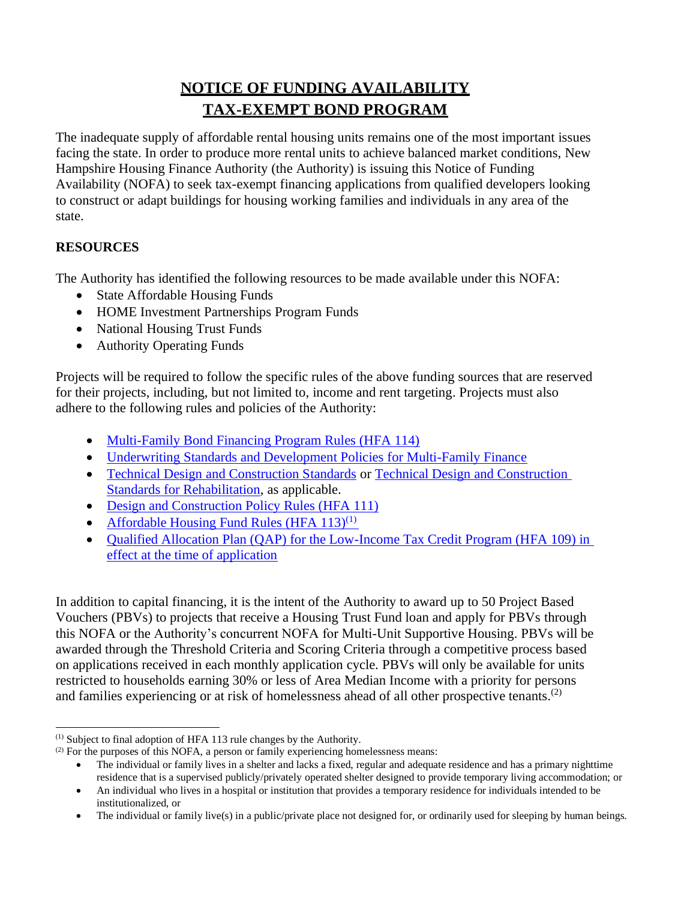# **NOTICE OF FUNDING AVAILABILITY TAX-EXEMPT BOND PROGRAM**

The inadequate supply of affordable rental housing units remains one of the most important issues facing the state. In order to produce more rental units to achieve balanced market conditions, New Hampshire Housing Finance Authority (the Authority) is issuing this Notice of Funding Availability (NOFA) to seek tax-exempt financing applications from qualified developers looking to construct or adapt buildings for housing working families and individuals in any area of the state.

## **RESOURCES**

The Authority has identified the following resources to be made available under this NOFA:

- State Affordable Housing Funds
- HOME Investment Partnerships Program Funds
- National Housing Trust Funds
- Authority Operating Funds

Projects will be required to follow the specific rules of the above funding sources that are reserved for their projects, including, but not limited to, income and rent targeting. Projects must also adhere to the following rules and policies of the Authority:

- [Multi-Family Bond Financing Program Rules \(HFA 114\)](https://www.nhhfa.org/wp-content/uploads/2019/06/HFA114.pdf)
- [Underwriting Standards and Development Policies for Multi-Family Finance](https://www.nhhfa.org/wp-content/uploads/2020/05/Underwriting-Standards_Final_2020.pdf)
- [Technical Design and Construction Standards](https://www.nhhfa.org/wp-content/uploads/2019/08/Technical-Design-Construction-Standards.pdf) or [Technical Design and Construction](https://nhhfa.sharepoint.com/sites/MD_Development/Shared%20Documents1/Technical%20Design%20and%20Construction%20Standards%20for%20Rehabilitation)  [Standards for Rehabilitation,](https://nhhfa.sharepoint.com/sites/MD_Development/Shared%20Documents1/Technical%20Design%20and%20Construction%20Standards%20for%20Rehabilitation) as applicable.
- [Design and Construction Policy Rules \(HFA 111\)](https://www.nhhfa.org/wp-content/uploads/2019/06/HFA111.pdf)
- Affordable Housing Fund Rules (HFA  $113$ )<sup>(1)</sup>
- Qualified Allocation Plan (QAP) for the Low-Income Tax Credit Program (HFA 109) in [effect at the time of application](https://www.nhhfa.org/developer-financing/low-income-housing-tax-credits-lihtc/)

In addition to capital financing, it is the intent of the Authority to award up to 50 Project Based Vouchers (PBVs) to projects that receive a Housing Trust Fund loan and apply for PBVs through this NOFA or the Authority's concurrent NOFA for Multi-Unit Supportive Housing. PBVs will be awarded through the Threshold Criteria and Scoring Criteria through a competitive process based on applications received in each monthly application cycle. PBVs will only be available for units restricted to households earning 30% or less of Area Median Income with a priority for persons and families experiencing or at risk of homelessness ahead of all other prospective tenants.<sup>(2)</sup>

<sup>(1)</sup> Subject to final adoption of HFA 113 rule changes by the Authority.

 $^{(2)}$  For the purposes of this NOFA, a person or family experiencing homelessness means:

<sup>•</sup> The individual or family lives in a shelter and lacks a fixed, regular and adequate residence and has a primary nighttime residence that is a supervised publicly/privately operated shelter designed to provide temporary living accommodation; or

<sup>•</sup> An individual who lives in a hospital or institution that provides a temporary residence for individuals intended to be institutionalized, or

<sup>•</sup> The individual or family live(s) in a public/private place not designed for, or ordinarily used for sleeping by human beings.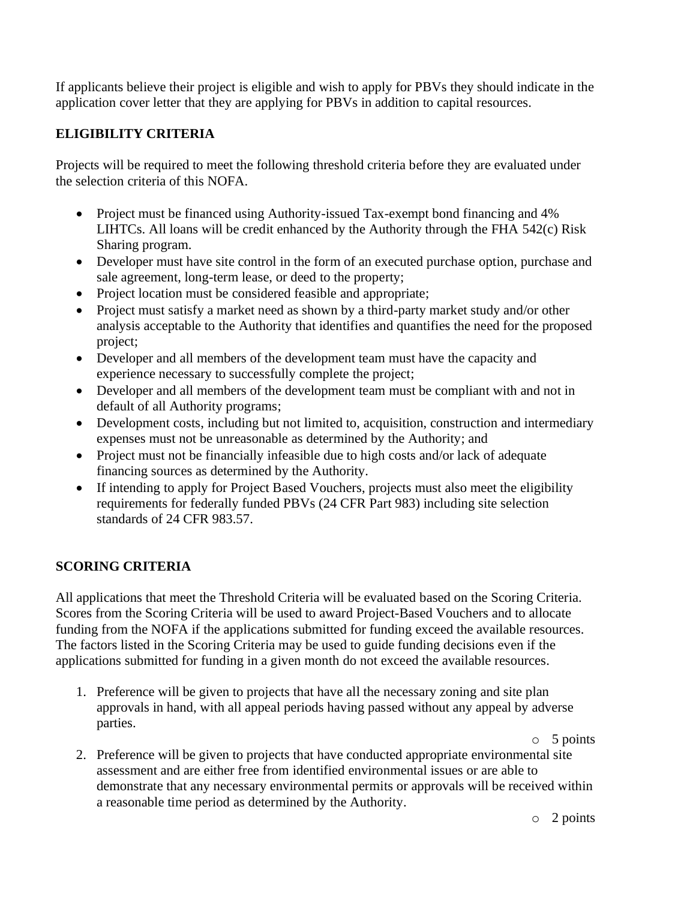If applicants believe their project is eligible and wish to apply for PBVs they should indicate in the application cover letter that they are applying for PBVs in addition to capital resources.

### **ELIGIBILITY CRITERIA**

Projects will be required to meet the following threshold criteria before they are evaluated under the selection criteria of this NOFA.

- Project must be financed using Authority-issued Tax-exempt bond financing and 4% LIHTCs. All loans will be credit enhanced by the Authority through the FHA 542(c) Risk Sharing program.
- Developer must have site control in the form of an executed purchase option, purchase and sale agreement, long-term lease, or deed to the property;
- Project location must be considered feasible and appropriate;
- Project must satisfy a market need as shown by a third-party market study and/or other analysis acceptable to the Authority that identifies and quantifies the need for the proposed project;
- Developer and all members of the development team must have the capacity and experience necessary to successfully complete the project;
- Developer and all members of the development team must be compliant with and not in default of all Authority programs;
- Development costs, including but not limited to, acquisition, construction and intermediary expenses must not be unreasonable as determined by the Authority; and
- Project must not be financially infeasible due to high costs and/or lack of adequate financing sources as determined by the Authority.
- If intending to apply for Project Based Vouchers, projects must also meet the eligibility requirements for federally funded PBVs (24 CFR Part 983) including site selection standards of 24 CFR 983.57.

## **SCORING CRITERIA**

All applications that meet the Threshold Criteria will be evaluated based on the Scoring Criteria. Scores from the Scoring Criteria will be used to award Project-Based Vouchers and to allocate funding from the NOFA if the applications submitted for funding exceed the available resources. The factors listed in the Scoring Criteria may be used to guide funding decisions even if the applications submitted for funding in a given month do not exceed the available resources.

1. Preference will be given to projects that have all the necessary zoning and site plan approvals in hand, with all appeal periods having passed without any appeal by adverse parties.

o 5 points

2. Preference will be given to projects that have conducted appropriate environmental site assessment and are either free from identified environmental issues or are able to demonstrate that any necessary environmental permits or approvals will be received within a reasonable time period as determined by the Authority.

o 2 points